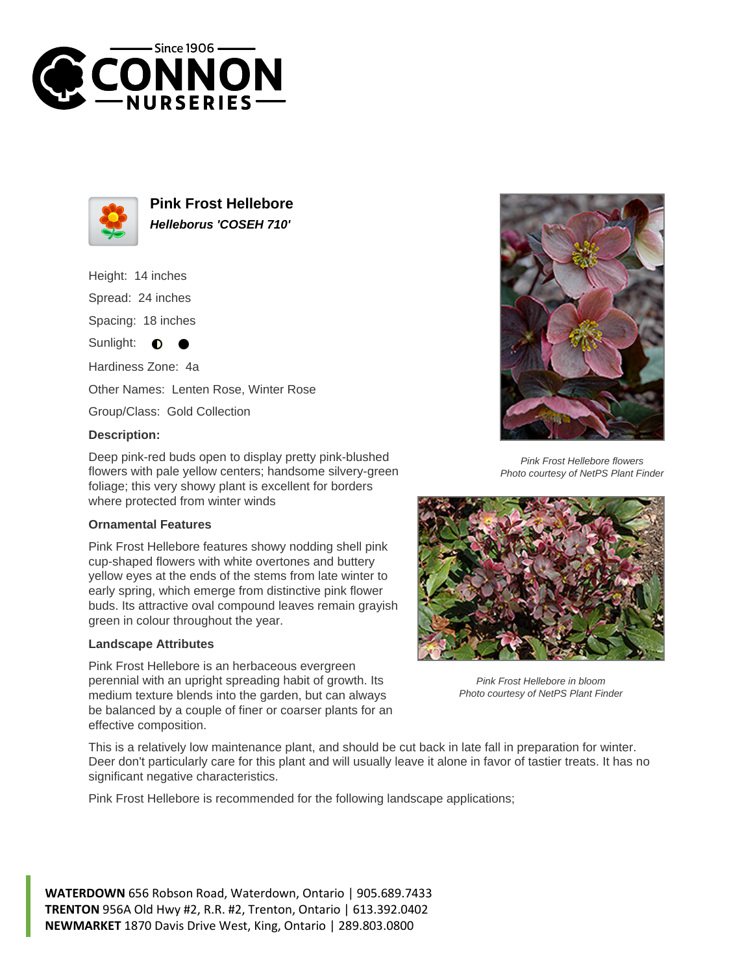



**Pink Frost Hellebore Helleborus 'COSEH 710'**

Height: 14 inches Spread: 24 inches Spacing: 18 inches Sunlight: **O** 

Hardiness Zone: 4a

Other Names: Lenten Rose, Winter Rose

Group/Class: Gold Collection

## **Description:**

Deep pink-red buds open to display pretty pink-blushed flowers with pale yellow centers; handsome silvery-green foliage; this very showy plant is excellent for borders where protected from winter winds

## **Ornamental Features**

Pink Frost Hellebore features showy nodding shell pink cup-shaped flowers with white overtones and buttery yellow eyes at the ends of the stems from late winter to early spring, which emerge from distinctive pink flower buds. Its attractive oval compound leaves remain grayish green in colour throughout the year.

## **Landscape Attributes**

Pink Frost Hellebore is an herbaceous evergreen perennial with an upright spreading habit of growth. Its medium texture blends into the garden, but can always be balanced by a couple of finer or coarser plants for an effective composition.



Pink Frost Hellebore flowers Photo courtesy of NetPS Plant Finder



Pink Frost Hellebore in bloom Photo courtesy of NetPS Plant Finder

This is a relatively low maintenance plant, and should be cut back in late fall in preparation for winter. Deer don't particularly care for this plant and will usually leave it alone in favor of tastier treats. It has no significant negative characteristics.

Pink Frost Hellebore is recommended for the following landscape applications;

**WATERDOWN** 656 Robson Road, Waterdown, Ontario | 905.689.7433 **TRENTON** 956A Old Hwy #2, R.R. #2, Trenton, Ontario | 613.392.0402 **NEWMARKET** 1870 Davis Drive West, King, Ontario | 289.803.0800